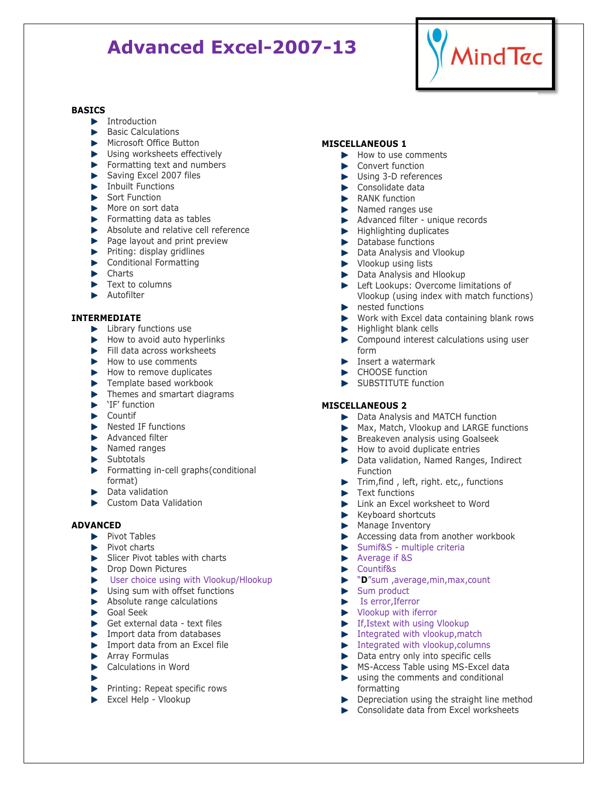# **Advanced Excel-2007-13**



#### **BASICS**

- **Introduction**
- Basic Calculations
- Microsoft Office Button
- Using worksheets effectively
- $\blacktriangleright$  Formatting text and numbers
- Saving Excel 2007 files
- **Inbuilt Functions**
- Sort Function
- More on sort data
- Formatting data as tables
- Absolute and relative cell reference
- $\blacktriangleright$  Page layout and print preview
- $\blacktriangleright$  Priting: display gridlines
- **EXECONDUCTER CONDUCTER** Formatting
- **De** Charts
- Text to columns
- **Autofilter**

# **INTERMEDIATE**

- $\blacktriangleright$  Library functions use
- $\blacktriangleright$  How to avoid auto hyperlinks
- Fill data across worksheets
- $\blacktriangleright$  How to use comments
- $\blacktriangleright$  How to remove duplicates
- F Template based workbook
- **F** Themes and smartart diagrams
- $\blacktriangleright$  'IF' function
- Countif
- $\blacktriangleright$  Nested IF functions
- Advanced filter
- Named ranges
- **B** Subtotals
- Formatting in-cell graphs(conditional format)
- Data validation
- Custom Data Validation

# **ADVANCED**

- Pivot Tables
- $\blacktriangleright$  Pivot charts
- Slicer Pivot tables with charts
- **Drop Down Pictures**
- **EXECUTE:** User choice using with Vlookup/Hlookup
- Using sum with offset functions
- Absolute range calculations
- Goal Seek
- Get external data text files
- **IMPORT MEDIATE** Import data from databases
- **IMPORT META** from an Excel file
- **Array Formulas**
- ▶ Calculations in Word
- 
- **Printing: Repeat specific rows**
- Excel Help Vlookup

#### **MISCELLANEOUS 1**

- $\blacktriangleright$  How to use comments
- Convert function
- ▶ Using 3-D references
- Consolidate data
- RANK function
- Named ranges use
- Advanced filter unique records Þ.
- $\blacktriangleright$  Highlighting duplicates
- **Database functions**
- Data Analysis and Vlookup
- ▶ Vlookup using lists
- Data Analysis and Hlookup
- **Left Lookups: Overcome limitations of** Vlookup (using index with match functions)
- $\blacktriangleright$  nested functions
- Work with Excel data containing blank rows
- Highlight blank cells
- Compound interest calculations using user form
- Insert a watermark
- ь CHOOSE function
- SUBSTITUTE function

# **MISCELLANEOUS 2**

- ▶ Data Analysis and MATCH function
- Max, Match, Vlookup and LARGE functions
- Breakeven analysis using Goalseek b.
- $\blacktriangleright$  How to avoid duplicate entries
- Data validation, Named Ranges, Indirect Function
- Trim, find, left, right. etc,, functions
- **Text functions**
- **Link an Excel worksheet to Word**
- $\blacktriangleright$  Keyboard shortcuts
- Manage Inventory
- Accessing data from another workbook
- Sumif&S multiple criteria
- Average if &S
- Countif&s
- "**D**"sum ,average,min,max,count
- Sum product
- Is error,Iferror
- **Vlookup with iferror**
- **If,Istext with using Vlookup**
- $\blacktriangleright$  Integrated with vlookup, match
- Integrated with vlookup,columns
- b. Data entry only into specific cells
- MS-Access Table using MS-Excel data he is

Consolidate data from Excel worksheets

using the comments and conditional formatting Depreciation using the straight line method